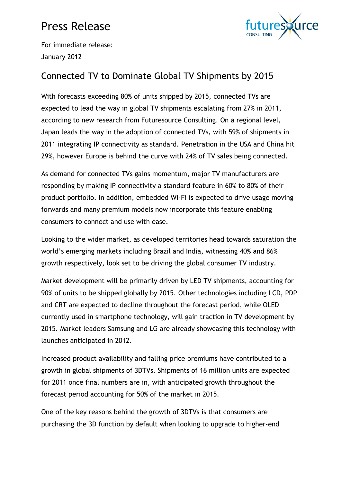# Press Release



For immediate release: January 2012

### Connected TV to Dominate Global TV Shipments by 2015

With forecasts exceeding 80% of units shipped by 2015, connected TVs are expected to lead the way in global TV shipments escalating from 27% in 2011, according to new research from Futuresource Consulting. On a regional level, Japan leads the way in the adoption of connected TVs, with 59% of shipments in 2011 integrating IP connectivity as standard. Penetration in the USA and China hit 29%, however Europe is behind the curve with 24% of TV sales being connected.

As demand for connected TVs gains momentum, major TV manufacturers are responding by making IP connectivity a standard feature in 60% to 80% of their product portfolio. In addition, embedded Wi-Fi is expected to drive usage moving forwards and many premium models now incorporate this feature enabling consumers to connect and use with ease.

Looking to the wider market, as developed territories head towards saturation the world's emerging markets including Brazil and India, witnessing 40% and 86% growth respectively, look set to be driving the global consumer TV industry.

Market development will be primarily driven by LED TV shipments, accounting for 90% of units to be shipped globally by 2015. Other technologies including LCD, PDP and CRT are expected to decline throughout the forecast period, while OLED currently used in smartphone technology, will gain traction in TV development by 2015. Market leaders Samsung and LG are already showcasing this technology with launches anticipated in 2012.

Increased product availability and falling price premiums have contributed to a growth in global shipments of 3DTVs. Shipments of 16 million units are expected for 2011 once final numbers are in, with anticipated growth throughout the forecast period accounting for 50% of the market in 2015.

One of the key reasons behind the growth of 3DTVs is that consumers are purchasing the 3D function by default when looking to upgrade to higher-end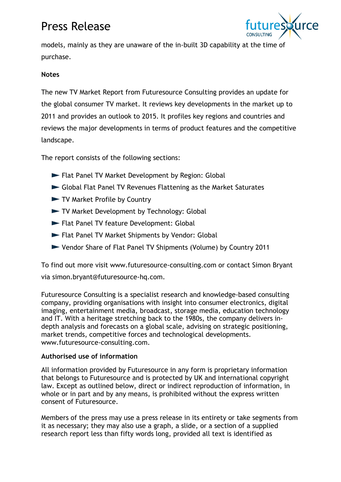## Press Release



models, mainly as they are unaware of the in-built 3D capability at the time of purchase.

#### **Notes**

The new TV Market Report from Futuresource Consulting provides an update for the global consumer TV market. It reviews key developments in the market up to 2011 and provides an outlook to 2015. It profiles key regions and countries and reviews the major developments in terms of product features and the competitive landscape.

The report consists of the following sections:

- Flat Panel TV Market Development by Region: Global
- Global Flat Panel TV Revenues Flattening as the Market Saturates
- TV Market Profile by Country
- TV Market Development by Technology: Global
- Flat Panel TV feature Development: Global
- Flat Panel TV Market Shipments by Vendor: Global
- Vendor Share of Flat Panel TV Shipments (Volume) by Country 2011

To find out more visit www.futuresource-consulting.com or contact Simon Bryant via simon.bryant@futuresource-hq.com.

Futuresource Consulting is a specialist research and knowledge-based consulting company, providing organisations with insight into consumer electronics, digital imaging, entertainment media, broadcast, storage media, education technology and IT. With a heritage stretching back to the 1980s, the company delivers indepth analysis and forecasts on a global scale, advising on strategic positioning, market trends, competitive forces and technological developments. www.futuresource-consulting.com.

#### **Authorised use of information**

All information provided by Futuresource in any form is proprietary information that belongs to Futuresource and is protected by UK and international copyright law. Except as outlined below, direct or indirect reproduction of information, in whole or in part and by any means, is prohibited without the express written consent of Futuresource.

Members of the press may use a press release in its entirety or take segments from it as necessary; they may also use a graph, a slide, or a section of a supplied research report less than fifty words long, provided all text is identified as